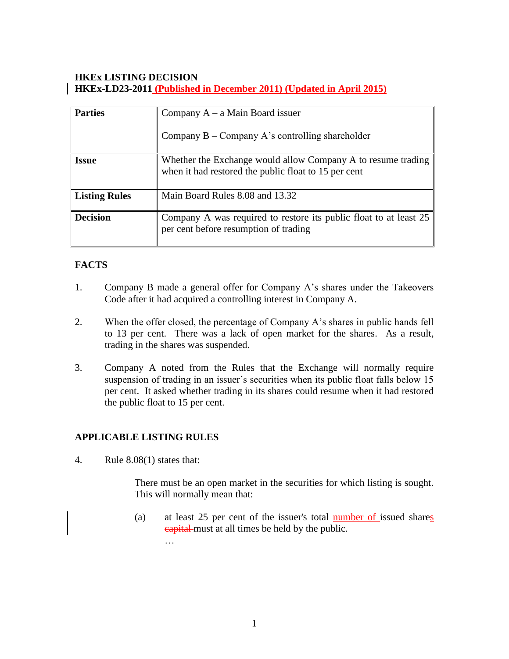### **HKEx LISTING DECISION HKEx-LD23-2011 (Published in December 2011) (Updated in April 2015)**

| <b>Parties</b>       | Company $A - a$ Main Board issuer<br>Company $B -$ Company A's controlling shareholder                               |
|----------------------|----------------------------------------------------------------------------------------------------------------------|
| <b>Issue</b>         | Whether the Exchange would allow Company A to resume trading<br>when it had restored the public float to 15 per cent |
| <b>Listing Rules</b> | Main Board Rules 8.08 and 13.32                                                                                      |
| <b>Decision</b>      | Company A was required to restore its public float to at least 25<br>per cent before resumption of trading           |

### **FACTS**

- 1. Company B made a general offer for Company A's shares under the Takeovers Code after it had acquired a controlling interest in Company A.
- 2. When the offer closed, the percentage of Company A's shares in public hands fell to 13 per cent. There was a lack of open market for the shares. As a result, trading in the shares was suspended.
- 3. Company A noted from the Rules that the Exchange will normally require suspension of trading in an issuer's securities when its public float falls below 15 per cent. It asked whether trading in its shares could resume when it had restored the public float to 15 per cent.

#### **APPLICABLE LISTING RULES**

…

4. Rule 8.08(1) states that:

There must be an open market in the securities for which listing is sought. This will normally mean that:

(a) at least 25 per cent of the issuer's total number of issued shares eapital must at all times be held by the public.